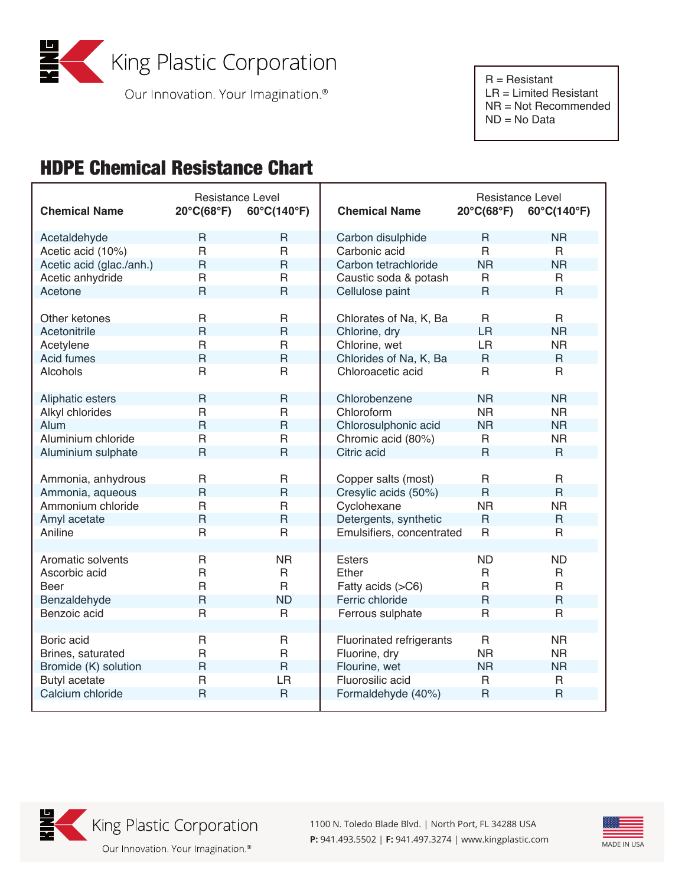

Our Innovation. Your Imagination.<sup>®</sup>

 NR = Not Recommended ND = No Data

## HDPE Chemical Resistance Chart

| <b>Chemical Name</b>     | <b>Resistance Level</b><br>$20^{\circ}C(68^{\circ}F)$ | 60°C(140°F)    | <b>Chemical Name</b>      | Resistance Level<br>$20^{\circ}C(68^{\circ}F)$ | 60°C(140°F)    |
|--------------------------|-------------------------------------------------------|----------------|---------------------------|------------------------------------------------|----------------|
| Acetaldehyde             | R                                                     | $\mathsf{R}$   | Carbon disulphide         | $\mathsf{R}$                                   | <b>NR</b>      |
| Acetic acid (10%)        | $\mathsf{R}$                                          | $\mathsf R$    | Carbonic acid             | $\mathsf{R}$                                   | R              |
| Acetic acid (glac./anh.) | $\mathsf{R}$                                          | $\mathsf{R}$   | Carbon tetrachloride      | <b>NR</b>                                      | <b>NR</b>      |
| Acetic anhydride         | $\mathsf{R}$                                          | $\mathsf R$    | Caustic soda & potash     | $\mathsf{R}$                                   | R              |
| Acetone                  | $\overline{R}$                                        | $\mathsf{R}$   | Cellulose paint           | $\mathsf{R}$                                   | $\mathsf{R}$   |
|                          |                                                       |                |                           |                                                |                |
| Other ketones            | R                                                     | $\mathsf{R}$   | Chlorates of Na, K, Ba    | R.                                             | R.             |
| Acetonitrile             | $\mathsf{R}$                                          | $\mathsf{R}$   | Chlorine, dry             | <b>LR</b>                                      | <b>NR</b>      |
| Acetylene                | $\overline{R}$                                        | $\mathsf{R}$   | Chlorine, wet             | LR                                             | <b>NR</b>      |
| Acid fumes               | $\mathsf{R}$                                          | $\mathsf{R}$   | Chlorides of Na, K, Ba    | $\mathsf{R}$                                   | $\mathsf{R}$   |
| Alcohols                 | R                                                     | R              | Chloroacetic acid         | R                                              | R              |
|                          |                                                       |                |                           |                                                |                |
| Aliphatic esters         | $\overline{R}$                                        | $\mathsf{R}$   | Chlorobenzene             | <b>NR</b>                                      | <b>NR</b>      |
| Alkyl chlorides          | $\overline{R}$                                        | $\mathsf{R}$   | Chloroform                | <b>NR</b>                                      | <b>NR</b>      |
| Alum                     | $\overline{R}$                                        | $\mathsf{R}$   | Chlorosulphonic acid      | <b>NR</b>                                      | <b>NR</b>      |
| Aluminium chloride       | $\mathsf{R}$                                          | $\mathsf{R}$   | Chromic acid (80%)        | R                                              | <b>NR</b>      |
| Aluminium sulphate       | $\overline{R}$                                        | $\overline{R}$ | Citric acid               | $\mathsf{R}$                                   | $\mathsf{R}$   |
|                          |                                                       |                |                           |                                                |                |
| Ammonia, anhydrous       | $\mathsf{R}$                                          | $\mathsf R$    | Copper salts (most)       | $\mathsf{R}$                                   | $\mathsf{R}$   |
| Ammonia, aqueous         | $\overline{R}$                                        | $\mathsf{R}$   | Cresylic acids (50%)      | $\mathsf{R}$                                   | $\mathsf{R}$   |
| Ammonium chloride        | $\mathsf{R}$                                          | $\mathsf R$    | Cyclohexane               | <b>NR</b>                                      | <b>NR</b>      |
| Amyl acetate             | $\overline{R}$                                        | $\mathsf{R}$   | Detergents, synthetic     | $\overline{R}$                                 | $\mathsf{R}$   |
| Aniline                  | $\mathsf{R}$                                          | $\mathsf R$    | Emulsifiers, concentrated | $\mathsf{R}$                                   | $\mathsf{R}$   |
|                          |                                                       |                |                           |                                                |                |
| Aromatic solvents        | $\mathsf{R}$                                          | <b>NR</b>      | <b>Esters</b>             | <b>ND</b>                                      | <b>ND</b>      |
| Ascorbic acid            | $\overline{R}$                                        | R              | Ether                     | $\mathsf{R}$                                   | R              |
| Beer                     | $\overline{R}$                                        | $\mathsf{R}$   | Fatty acids (>C6)         | $\mathsf{R}$                                   | $\mathsf{R}$   |
| Benzaldehyde             | $\mathsf{R}$                                          | <b>ND</b>      | Ferric chloride           | $\mathsf{R}$                                   | $\mathsf{R}$   |
| Benzoic acid             | $\overline{R}$                                        | $\mathsf{R}$   | Ferrous sulphate          | $\overline{R}$                                 | $\overline{R}$ |
| Boric acid               | $\mathsf{R}$                                          | $\mathsf{R}$   | Fluorinated refrigerants  | $\mathsf{R}$                                   | <b>NR</b>      |
| Brines, saturated        | $\overline{R}$                                        | $\mathsf{R}$   | Fluorine, dry             | <b>NR</b>                                      | <b>NR</b>      |
| Bromide (K) solution     | $\overline{R}$                                        | $\overline{R}$ | Flourine, wet             | <b>NR</b>                                      | <b>NR</b>      |
| <b>Butyl acetate</b>     | $\mathsf{R}$                                          | LR             | Fluorosilic acid          | $\mathsf{R}$                                   | R              |
| Calcium chloride         | $\overline{R}$                                        | $\mathsf{R}$   | Formaldehyde (40%)        | $\overline{R}$                                 | $\mathsf{R}$   |
|                          |                                                       |                |                           |                                                |                |



King Plastic Corporation

Our Innovation. Your Imagination.<sup>®</sup>

1100 N. Toledo Blade Blvd. | North Port, FL 34288 USA **P:** 941.493.5502 | **F:** 941.497.3274 | www.kingplastic.com MADE IN USA

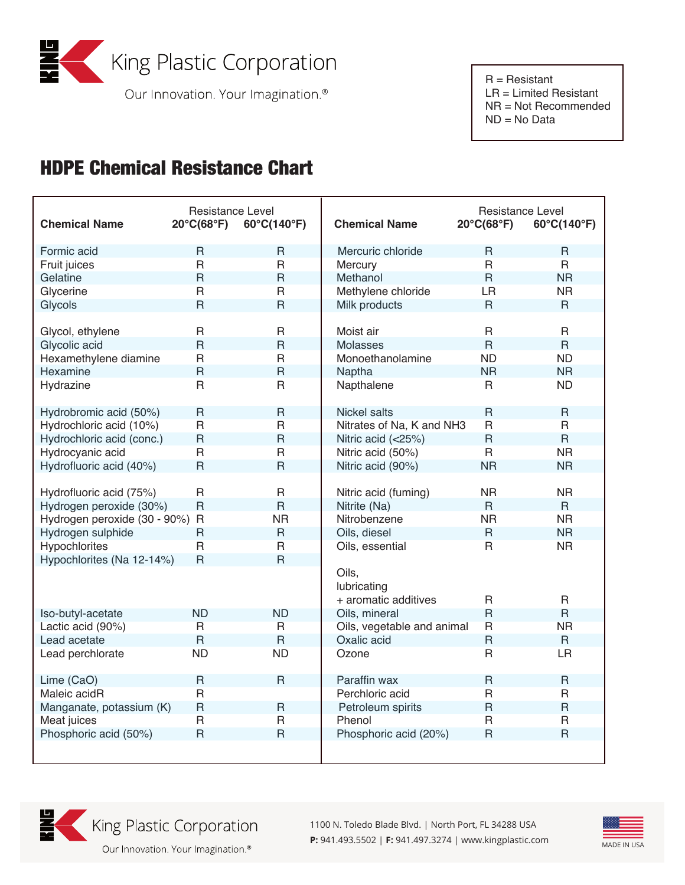

Our Innovation. Your Imagination.<sup>®</sup>

 NR = Not Recommended ND = No Data

## HDPE Chemical Resistance Chart

| <b>Chemical Name</b>           | <b>Resistance Level</b><br>$20^{\circ}C(68^{\circ}F)$ | 60°C(140°F)             | <b>Chemical Name</b>       | Resistance Level<br>$20^{\circ}C(68^{\circ}F)$ | 60°C(140°F)    |
|--------------------------------|-------------------------------------------------------|-------------------------|----------------------------|------------------------------------------------|----------------|
| Formic acid                    | $\mathsf{R}$                                          | $\overline{R}$          | Mercuric chloride          | $\mathsf{R}$                                   | $\mathsf{R}$   |
| Fruit juices                   | $\mathsf{R}$                                          | $\mathsf{R}$            | Mercury                    | $\mathsf{R}$                                   | $\mathsf{R}$   |
| Gelatine                       | $\overline{\mathsf{R}}$                               | $\overline{R}$          | Methanol                   | $\overline{R}$                                 | <b>NR</b>      |
| Glycerine                      | $\mathsf{R}$                                          | $\mathsf{R}$            | Methylene chloride         | <b>LR</b>                                      | <b>NR</b>      |
| Glycols                        | $\mathsf{R}$                                          | $\overline{R}$          | Milk products              | $\mathsf{R}$                                   | $\mathsf{R}$   |
|                                |                                                       |                         |                            |                                                |                |
| Glycol, ethylene               | $\mathsf{R}$                                          | $\mathsf{R}$            | Moist air                  | $\mathsf{R}$                                   | $\mathsf{R}$   |
| Glycolic acid                  | $\overline{R}$                                        | $\overline{R}$          | <b>Molasses</b>            | $\overline{R}$                                 | $\overline{R}$ |
| Hexamethylene diamine          | $\mathsf{R}$                                          | $\mathsf{R}$            | Monoethanolamine           | <b>ND</b>                                      | <b>ND</b>      |
| Hexamine                       | $\overline{\mathsf{R}}$                               | $\mathsf{R}$            | Naptha                     | <b>NR</b>                                      | <b>NR</b>      |
| Hydrazine                      | $\mathsf{R}$                                          | $\overline{R}$          | Napthalene                 | $\mathsf{R}$                                   | <b>ND</b>      |
|                                |                                                       |                         |                            |                                                |                |
| Hydrobromic acid (50%)         | $\mathsf{R}$                                          | $\mathsf{R}$            | Nickel salts               | $\mathsf{R}$                                   | $\mathsf{R}$   |
| Hydrochloric acid (10%)        | $\mathsf{R}$                                          | $\mathsf{R}$            | Nitrates of Na, K and NH3  | $\mathsf{R}$                                   | $\mathsf{R}$   |
| Hydrochloric acid (conc.)      | $\mathsf{R}$                                          | $\overline{R}$          | Nitric acid (<25%)         | $\overline{R}$                                 | $\overline{R}$ |
| Hydrocyanic acid               | $\mathsf{R}$                                          | $\overline{R}$          | Nitric acid (50%)          | $\mathsf{R}$                                   | <b>NR</b>      |
| Hydrofluoric acid (40%)        | $\overline{R}$                                        | $\overline{R}$          | Nitric acid (90%)          | <b>NR</b>                                      | <b>NR</b>      |
|                                |                                                       |                         |                            |                                                |                |
| Hydrofluoric acid (75%)        | $\mathsf{R}$                                          | $\mathsf{R}$            | Nitric acid (fuming)       | <b>NR</b>                                      | <b>NR</b>      |
| Hydrogen peroxide (30%)        | $\mathsf{R}$                                          | $\mathsf{R}$            | Nitrite (Na)               | $\mathsf{R}$                                   | $\mathsf{R}$   |
| Hydrogen peroxide (30 - 90%) R |                                                       | <b>NR</b>               | Nitrobenzene               | <b>NR</b>                                      | <b>NR</b>      |
| Hydrogen sulphide              | $\mathsf{R}$                                          | $\mathsf{R}$            | Oils, diesel               | $\mathsf{R}$                                   | <b>NR</b>      |
| Hypochlorites                  | $\mathsf{R}$                                          | $\mathsf{R}$            | Oils, essential            | $\mathsf{R}$                                   | <b>NR</b>      |
| Hypochlorites (Na 12-14%)      | $\mathsf{R}$                                          | $\overline{\mathsf{R}}$ |                            |                                                |                |
|                                |                                                       |                         | Oils,                      |                                                |                |
|                                |                                                       |                         | lubricating                |                                                |                |
|                                |                                                       |                         | + aromatic additives       | $\mathsf{R}$                                   | $\mathsf{R}$   |
| Iso-butyl-acetate              | <b>ND</b>                                             | <b>ND</b>               | Oils, mineral              | $\overline{R}$                                 | $\overline{R}$ |
| Lactic acid (90%)              | $\overline{R}$                                        | $\overline{R}$          | Oils, vegetable and animal | $\overline{R}$                                 | <b>NR</b>      |
| Lead acetate                   | $\mathsf{R}$                                          | $\mathsf{R}$            | Oxalic acid                | $\overline{R}$                                 | $\mathsf{R}$   |
| Lead perchlorate               | <b>ND</b>                                             | <b>ND</b>               | Ozone                      | $\mathsf{R}$                                   | <b>LR</b>      |
|                                |                                                       |                         |                            |                                                |                |
| Lime (CaO)                     | $\mathsf{R}$                                          | $\overline{R}$          | Paraffin wax               | $\mathsf{R}$                                   | $\mathsf{R}$   |
| Maleic acidR                   | $\mathsf{R}$                                          |                         | Perchloric acid            | $\mathsf{R}$                                   | R              |
| Manganate, potassium (K)       | $\mathsf R$                                           | $\mathsf{R}$            | Petroleum spirits          | $\overline{R}$                                 | $\overline{R}$ |
| Meat juices                    | $\mathsf{R}$<br>$\mathsf{R}$                          | $\overline{R}$          | Phenol                     | $\mathsf{R}$                                   | $\mathsf{R}$   |
| Phosphoric acid (50%)          |                                                       | $\overline{R}$          | Phosphoric acid (20%)      | $\mathsf{R}$                                   | $\overline{R}$ |
|                                |                                                       |                         |                            |                                                |                |
|                                |                                                       |                         |                            |                                                |                |



King Plastic Corporation

1100 N. Toledo Blade Blvd. | North Port, FL 34288 USA **P:** 941.493.5502 | **F:** 941.497.3274 | www.kingplastic.com MADE IN USA



Our Innovation. Your Imagination.<sup>®</sup>